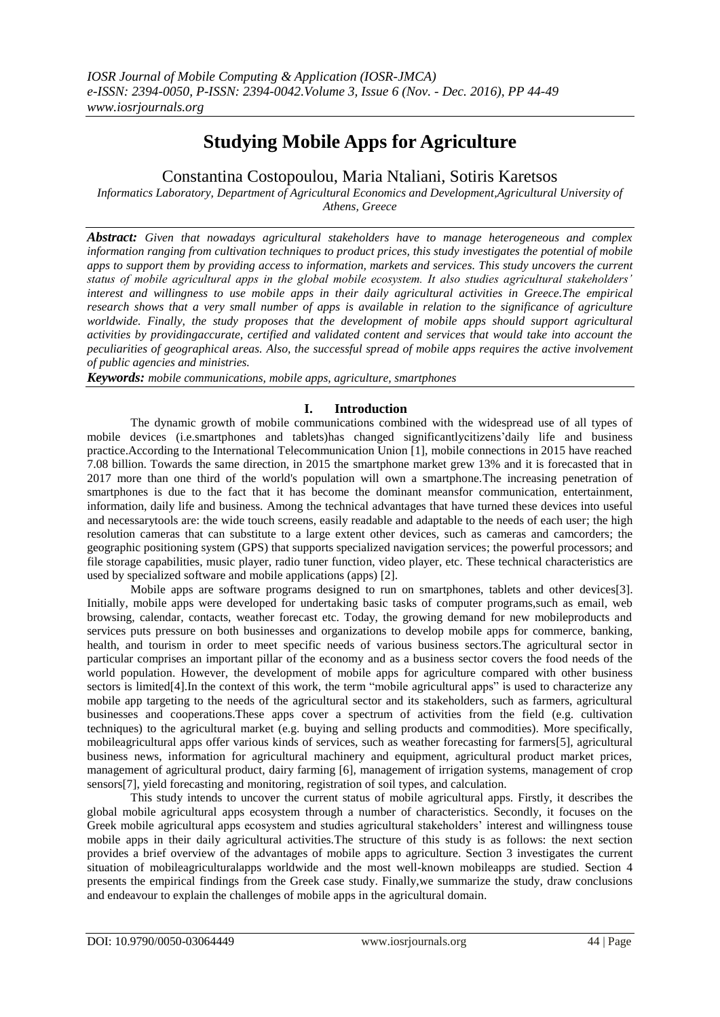# **Studying Mobile Apps for Agriculture**

Constantina Costopoulou, Maria Ntaliani, Sotiris Karetsos

*Informatics Laboratory, Department of Agricultural Economics and Development,Agricultural University of Athens, Greece*

*Abstract: Given that nowadays agricultural stakeholders have to manage heterogeneous and complex information ranging from cultivation techniques to product prices, this study investigates the potential of mobile apps to support them by providing access to information, markets and services. This study uncovers the current status of mobile agricultural apps in the global mobile ecosystem. It also studies agricultural stakeholders' interest and willingness to use mobile apps in their daily agricultural activities in Greece.The empirical research shows that a very small number of apps is available in relation to the significance of agriculture worldwide. Finally, the study proposes that the development of mobile apps should support agricultural activities by providingaccurate, certified and validated content and services that would take into account the peculiarities of geographical areas. Also, the successful spread of mobile apps requires the active involvement of public agencies and ministries.*

*Keywords: mobile communications, mobile apps, agriculture, smartphones*

#### **I. Introduction**

The dynamic growth of mobile communications combined with the widespread use of all types of mobile devices (i.e.smartphones and tablets)has changed significantlycitizens'daily life and business practice.According to the International Telecommunication Union [1], mobile connections in 2015 have reached 7.08 billion. Towards the same direction, in 2015 the smartphone market grew 13% and it is forecasted that in 2017 more than one third of the world's population will own a smartphone.The increasing penetration of smartphones is due to the fact that it has become the dominant meansfor communication, entertainment, information, daily life and business. Among the technical advantages that have turned these devices into useful and necessarytools are: the wide touch screens, easily readable and adaptable to the needs of each user; the high resolution cameras that can substitute to a large extent other devices, such as cameras and camcorders; the geographic positioning system (GPS) that supports specialized navigation services; the powerful processors; and file storage capabilities, music player, radio tuner function, video player, etc. These technical characteristics are used by specialized software and mobile applications (apps) [2].

Mobile apps are software programs designed to run on smartphones, tablets and other devices[3]. Initially, mobile apps were developed for undertaking basic tasks of computer programs, such as email, web browsing, calendar, contacts, weather forecast etc. Today, the growing demand for new mobileproducts and services puts pressure on both businesses and organizations to develop mobile apps for commerce, banking, health, and tourism in order to meet specific needs of various business sectors.The agricultural sector in particular comprises an important pillar of the economy and as a business sector covers the food needs of the world population. However, the development of mobile apps for agriculture compared with other business sectors is limited[4].In the context of this work, the term "mobile agricultural apps" is used to characterize any mobile app targeting to the needs of the agricultural sector and its stakeholders, such as farmers, agricultural businesses and cooperations.These apps cover a spectrum of activities from the field (e.g. cultivation techniques) to the agricultural market (e.g. buying and selling products and commodities). More specifically, mobileagricultural apps offer various kinds of services, such as weather forecasting for farmers[5], agricultural business news, information for agricultural machinery and equipment, agricultural product market prices, management of agricultural product, dairy farming [6], management of irrigation systems, management of crop sensors[7], yield forecasting and monitoring, registration of soil types, and calculation.

This study intends to uncover the current status of mobile agricultural apps. Firstly, it describes the global mobile agricultural apps ecosystem through a number of characteristics. Secondly, it focuses on the Greek mobile agricultural apps ecosystem and studies agricultural stakeholders' interest and willingness touse mobile apps in their daily agricultural activities.The structure of this study is as follows: the next section provides a brief overview of the advantages of mobile apps to agriculture. Section 3 investigates the current situation of mobileagriculturalapps worldwide and the most well-known mobileapps are studied. Section 4 presents the empirical findings from the Greek case study. Finally,we summarize the study, draw conclusions and endeavour to explain the challenges of mobile apps in the agricultural domain.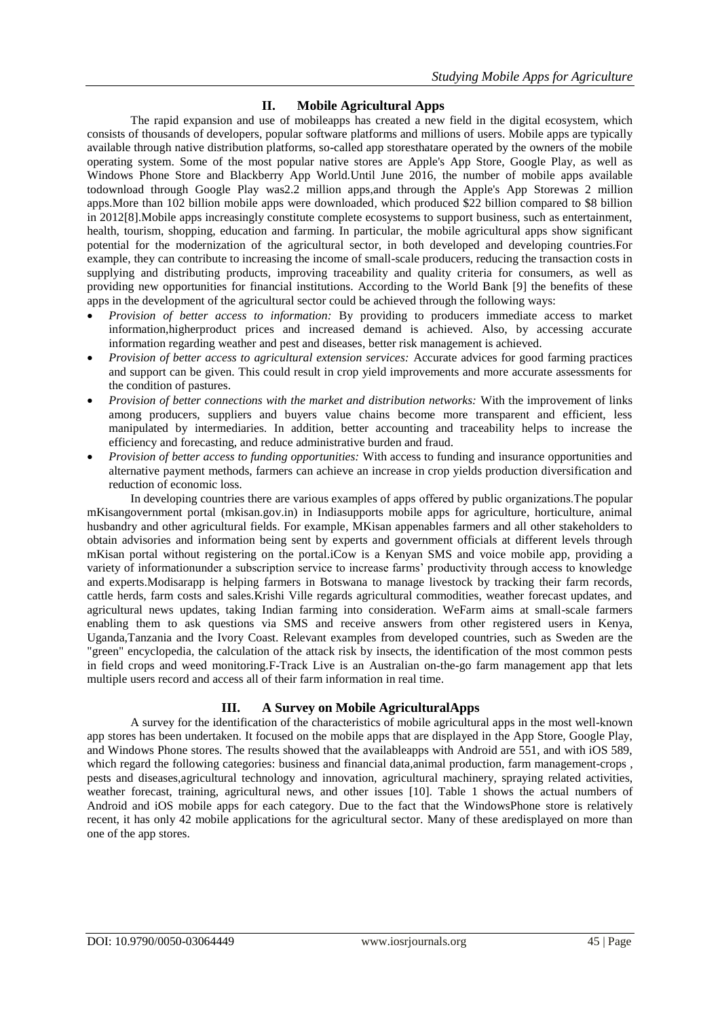## **II. Mobile Agricultural Apps**

The rapid expansion and use of mobileapps has created a new field in the digital ecosystem, which consists of thousands of developers, popular software platforms and millions of users. Mobile apps are typically available through native distribution platforms, so-called [app storest](https://www.statista.com/statistics/208599/number-of-apps-available-in-leading-app-stores/)hatare operated by the owners of the mobile operating system. Some of the most popular native stores are [Apple's App Store,](https://www.statista.com/statistics/20149/number-of-downloads-from-the-apple-app-store/) [Google Play,](https://www.statista.com/statistics/243412/number-of-android-app-downloads-from-google-play/) as well as Windows Phone Store and Blackberry App World.Until June 2016, the number of mobile apps available todownload through Google Play was2.2 million apps,and through the [Apple's App Storew](https://www.statista.com/statistics/263794/number-of-downloads-from-the-apple-app-store/)as 2 million apps.More than 102 billion mobile apps were downloaded, which produced \$22 billion compared to \$8 billion in 2012[8].Mobile apps increasingly constitute complete ecosystems to support business, such as entertainment, health, tourism, shopping, education and farming. In particular, the mobile agricultural apps show significant potential for the modernization of the agricultural sector, in both developed and developing countries.For example, they can contribute to increasing the income of small-scale producers, reducing the transaction costs in supplying and distributing products, improving traceability and quality criteria for consumers, as well as providing new opportunities for financial institutions. According to the World Bank [9] the benefits of these apps in the development of the agricultural sector could be achieved through the following ways:

- *Provision of better access to information:* By providing to producers immediate access to market information,higherproduct prices and increased demand is achieved. Also, by accessing accurate information regarding weather and pest and diseases, better risk management is achieved.
- *Provision of better access to agricultural extension services:* Accurate advices for good farming practices and support can be given. This could result in crop yield improvements and more accurate assessments for the condition of pastures.
- *Provision of better connections with the market and distribution networks:* With the improvement of links among producers, suppliers and buyers value chains become more transparent and efficient, less manipulated by intermediaries. In addition, better accounting and traceability helps to increase the efficiency and forecasting, and reduce administrative burden and fraud.
- *Provision of better access to funding opportunities:* With access to funding and insurance opportunities and alternative payment methods, farmers can achieve an increase in crop yields production diversification and reduction of economic loss.

In developing countries there are various examples of apps offered by public organizations.Τhe popular mKisangovernment portal (mkisan.gov.in) in Indiasupports mobile apps for agriculture, horticulture, animal husbandry and other agricultural fields. For example, MKisan appenables farmers and all other stakeholders to obtain advisories and information being sent by experts and government officials at different levels through mKisan portal without registering on the portal.iCow is a Kenyan SMS and voice mobile app, providing a variety of informationunder a subscription service to increase farms' productivity through access to knowledge and experts.Modisarapp is helping farmers in Botswana to manage livestock by tracking their farm records, cattle herds, farm costs and sales.Krishi Ville regards agricultural commodities, weather forecast updates, and agricultural news updates, taking Indian farming into consideration. WeFarm aims at small-scale farmers enabling them to ask questions via SMS and receive answers from other registered users in Kenya, Uganda,Tanzania and the Ivory Coast. Relevant examples from developed countries, such as Sweden are the "green" encyclopedia, the calculation of the attack risk by insects, the identification of the most common pests in field crops and weed monitoring.F-Track Live is an Australian on-the-go farm management app that lets multiple users record and access all of their farm information in real time.

#### **III. A Survey on Mobile AgriculturalApps**

A survey for the identification of the characteristics of mobile agricultural apps in the most well-known app stores has been undertaken. It focused on the mobile apps that are displayed in the App Store, Google Play, and Windows Phone stores. The results showed that the availableapps with Android are 551, and with iOS 589, which regard the following categories: business and financial data,animal production, farm management-crops , pests and diseases,agricultural technology and innovation, agricultural machinery, spraying related activities, weather forecast, training, agricultural news, and other issues [10]. Table 1 shows the actual numbers of Android and iOS mobile apps for each category. Due to the fact that the WindowsPhone store is relatively recent, it has only 42 mobile applications for the agricultural sector. Many of these aredisplayed on more than one of the app stores.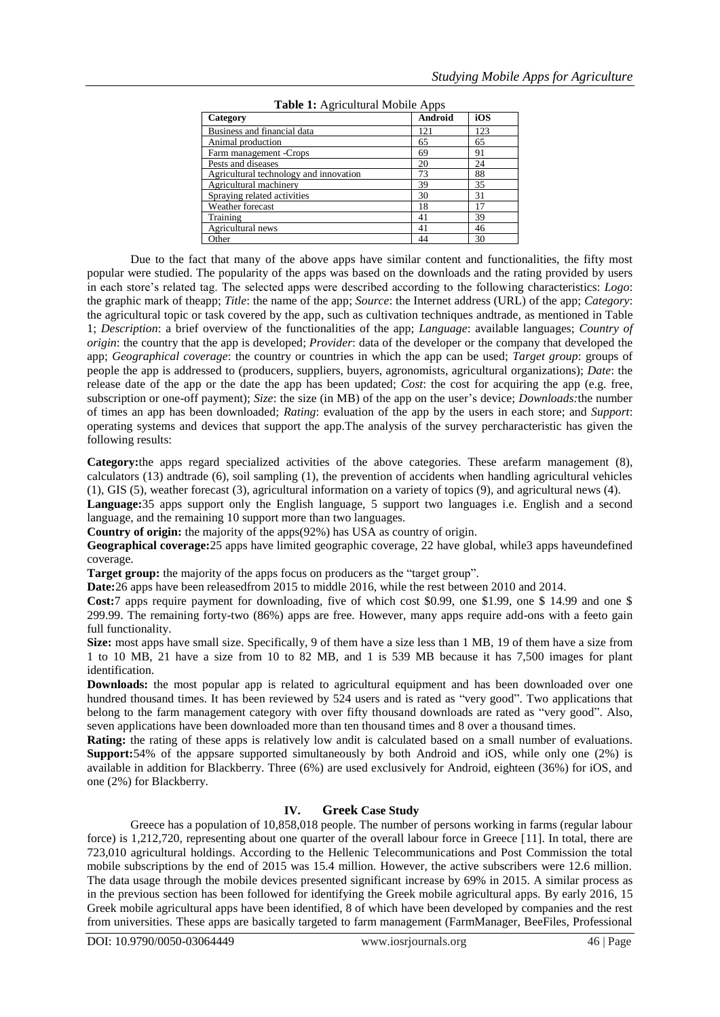| $\ldots$                               |         |     |
|----------------------------------------|---------|-----|
| Category                               | Android | iOS |
| Business and financial data            | 121     | 123 |
| Animal production                      | 65      | 65  |
| Farm management -Crops                 | 69      | 91  |
| Pests and diseases                     | 20      | 24  |
| Agricultural technology and innovation | 73      | 88  |
| Agricultural machinery                 | 39      | 35  |
| Spraying related activities            | 30      | 31  |
| Weather forecast                       | 18      | 17  |
| Training                               | 41      | 39  |
| Agricultural news                      | 41      | 46  |
| Other                                  | 44      | 30  |

**Table 1:** Agricultural Mobile Apps

Due to the fact that many of the above apps have similar content and functionalities, the fifty most popular were studied. The popularity of the apps was based on the downloads and the rating provided by users in each store's related tag. The selected apps were described according to the following characteristics: *Logo*: the graphic mark of theapp; *Title*: the name of the app; *Source*: the Internet address (URL) of the app; *Category*: the agricultural topic or task covered by the app, such as cultivation techniques andtrade, as mentioned in Table 1; *Description*: a brief overview of the functionalities of the app; *Language*: available languages; *Country of origin*: the country that the app is developed; *Provider*: data of the developer or the company that developed the app; *Geographical coverage*: the country or countries in which the app can be used; *Target group*: groups of people the app is addressed to (producers, suppliers, buyers, agronomists, agricultural organizations); *Date*: the release date of the app or the date the app has been updated; *Cost*: the cost for acquiring the app (e.g. free, subscription or one-off payment); *Size*: the size (in MB) of the app on the user's device; *Downloads:*the number of times an app has been downloaded; *Rating*: evaluation of the app by the users in each store; and *Support*: operating systems and devices that support the app.The analysis of the survey percharacteristic has given the following results:

**Category:**the apps regard specialized activities of the above categories. These arefarm management (8), calculators (13) andtrade (6), soil sampling (1), the prevention of accidents when handling agricultural vehicles (1), GIS (5), weather forecast (3), agricultural information on a variety of topics (9), and agricultural news (4).

**Language:**35 apps support only the English language, 5 support two languages i.e. English and a second language, and the remaining 10 support more than two languages.

**Country of origin:** the majority of the apps(92%) has USA as country of origin.

**Geographical coverage:**25 apps have limited geographic coverage, 22 have global, while3 apps haveundefined coverage.

**Target group:** the majority of the apps focus on producers as the "target group".

**Date:**26 apps have been releasedfrom 2015 to middle 2016, while the rest between 2010 and 2014.

**Cost:**7 apps require payment for downloading, five of which cost \$0.99, one \$1.99, one \$ 14.99 and one \$ 299.99. The remaining forty-two (86%) apps are free. However, many apps require add-ons with a feeto gain full functionality.

**Size:** most apps have small size. Specifically, 9 of them have a size less than 1 MB, 19 of them have a size from 1 to 10 MB, 21 have a size from 10 to 82 MB, and 1 is 539 MB because it has 7,500 images for plant identification.

**Downloads:** the most popular app is related to agricultural equipment and has been downloaded over one hundred thousand times. It has been reviewed by  $524$  users and is rated as "very good". Two applications that belong to the farm management category with over fifty thousand downloads are rated as "very good". Also, seven applications have been downloaded more than ten thousand times and 8 over a thousand times.

**Rating:** the rating of these apps is relatively low andit is calculated based on a small number of evaluations. **Support:**54% of the appsare supported simultaneously by both Android and iOS, while only one (2%) is available in addition for Blackberry. Three (6%) are used exclusively for Android, eighteen (36%) for iOS, and one (2%) for Blackberry.

#### **IV. Greek Case Study**

Greece has a population of 10,858,018 people. The number of persons working in farms (regular labour force) is 1,212,720, representing about one quarter of the overall labour force in Greece [11]. In total, there are 723,010 agricultural holdings. According to the Hellenic Telecommunications and Post Commission the total mobile subscriptions by the end of 2015 was 15.4 million. However, the active subscribers were 12.6 million. The data usage through the mobile devices presented significant increase by 69% in 2015. A similar process as in the previous section has been followed for identifying the Greek mobile agricultural apps. By early 2016, 15 Greek mobile agricultural apps have been identified, 8 of which have been developed by companies and the rest from universities. These apps are basically targeted to farm management (FarmManager, BeeFiles, Professional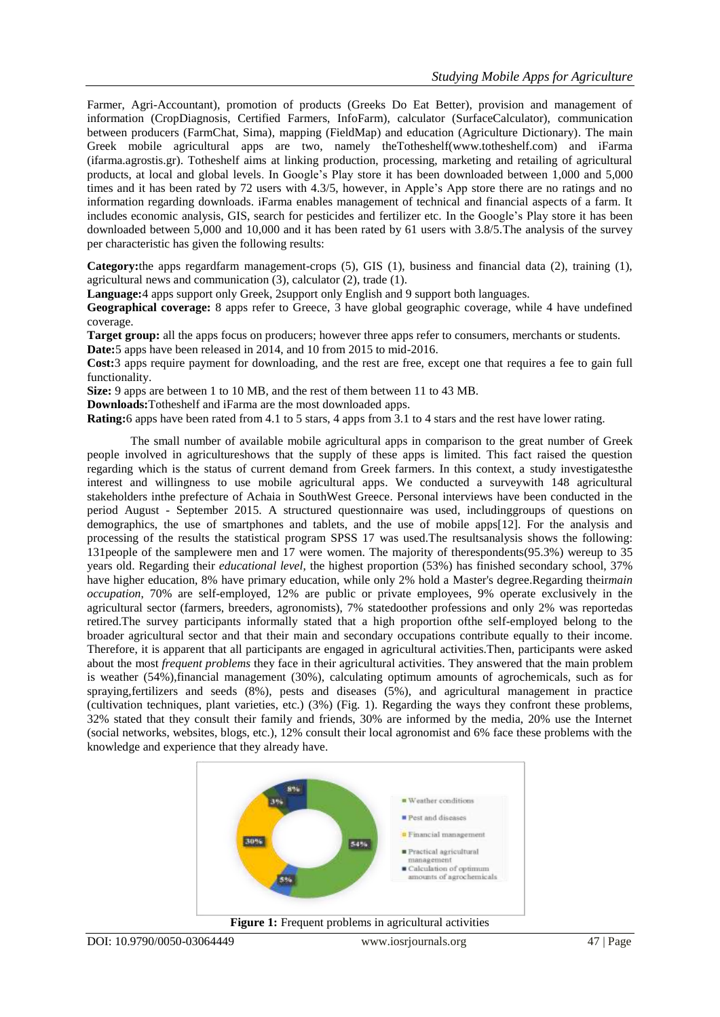Farmer, Agri-Accountant), promotion of products (Greeks Do Eat Better), provision and management of information (CropDiagnosis, Certified Farmers, InfoFarm), calculator (SurfaceCalculator), communication between producers (FarmChat, Sima), mapping (FieldMap) and education (Agriculture Dictionary). The main Greek mobile agricultural apps are two, namely theTotheshelf(www.totheshelf.com) and iFarma (ifarma.agrostis.gr). Totheshelf aims at linking production, processing, marketing and retailing of agricultural products, at local and global levels. In Google's Play store it has been downloaded between 1,000 and 5,000 times and it has been rated by 72 users with 4.3/5, however, in Apple's App store there are no ratings and no information regarding downloads. iFarma enables management of technical and financial aspects of a farm. It includes economic analysis, GIS, search for pesticides and fertilizer etc. In the Google's Play store it has been downloaded between 5,000 and 10,000 and it has been rated by 61 users with 3.8/5.The analysis of the survey per characteristic has given the following results:

**Category:**the apps regardfarm management-crops (5), GIS (1), business and financial data (2), training (1), agricultural news and communication (3), calculator (2), trade (1).

**Language:**4 apps support only Greek, 2support only English and 9 support both languages.

**Geographical coverage:** 8 apps refer to Greece, 3 have global geographic coverage, while 4 have undefined coverage.

**Target group:** all the apps focus on producers; however three apps refer to consumers, merchants or students.

**Date:**5 apps have been released in 2014, and 10 from 2015 to mid-2016.

**Cost:**3 apps require payment for downloading, and the rest are free, except one that requires a fee to gain full functionality.

**Size:** 9 apps are between 1 to 10 MB, and the rest of them between 11 to 43 MB.

**Downloads:**Totheshelf and iFarma are the most downloaded apps.

**Rating:**6 apps have been rated from 4.1 to 5 stars, 4 apps from 3.1 to 4 stars and the rest have lower rating.

The small number of available mobile agricultural apps in comparison to the great number of Greek people involved in agricultureshows that the supply of these apps is limited. This fact raised the question regarding which is the status of current demand from Greek farmers. In this context, a study investigatesthe interest and willingness to use mobile agricultural apps. We conducted a surveywith 148 agricultural stakeholders inthe prefecture of Achaia in SouthWest Greece. Personal interviews have been conducted in the period August - September 2015. A structured questionnaire was used, includinggroups of questions on demographics, the use of smartphones and tablets, and the use of mobile apps[12]. For the analysis and processing of the results the statistical program SPSS 17 was used.The resultsanalysis shows the following: 131people of the samplewere men and 17 were women. The majority of therespondents(95.3%) wereup to 35 years old. Regarding their *educational level*, the highest proportion (53%) has finished secondary school, 37% have higher education, 8% have primary education, while only 2% hold a Master's degree.Regarding their*main occupation*, 70% are self-employed, 12% are public or private employees, 9% operate exclusively in the agricultural sector (farmers, breeders, agronomists), 7% statedoother professions and only 2% was reportedas retired.The survey participants informally stated that a high proportion ofthe self-employed belong to the broader agricultural sector and that their main and secondary occupations contribute equally to their income. Therefore, it is apparent that all participants are engaged in agricultural activities.Then, participants were asked about the most *frequent problems* they face in their agricultural activities. They answered that the main problem is weather (54%),financial management (30%), calculating optimum amounts of agrochemicals, such as for spraying,fertilizers and seeds (8%), pests and diseases (5%), and agricultural management in practice (cultivation techniques, plant varieties, etc.) (3%) (Fig. 1). Regarding the ways they confront these problems, 32% stated that they consult their family and friends, 30% are informed by the media, 20% use the Internet (social networks, websites, blogs, etc.), 12% consult their local agronomist and 6% face these problems with the knowledge and experience that they already have.

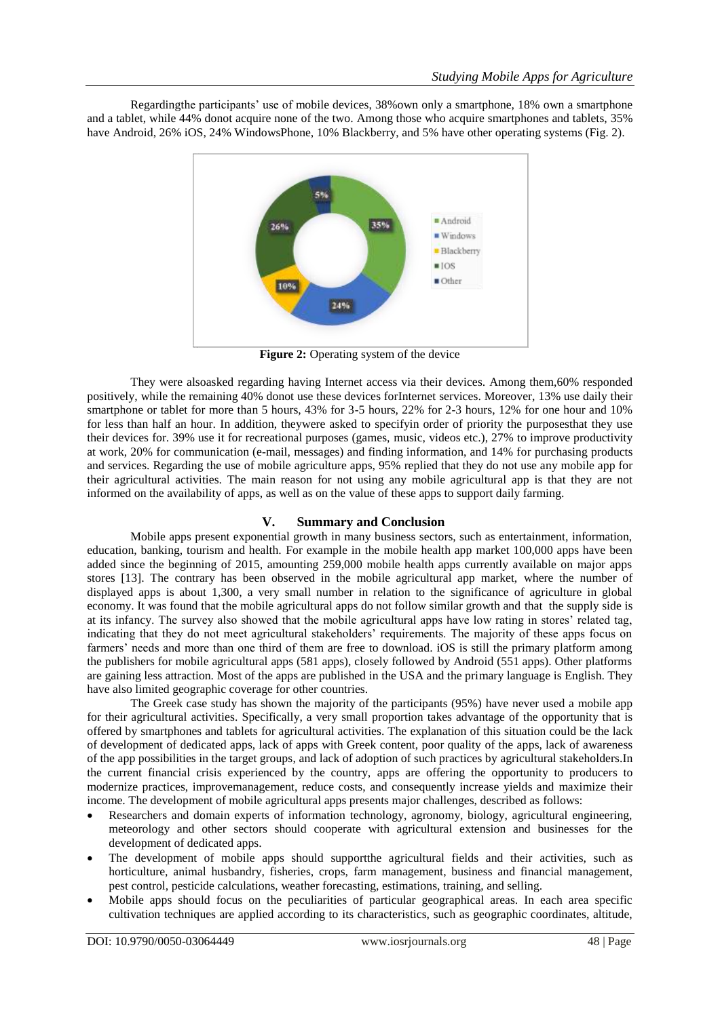Regardingthe participants' use of mobile devices, 38%own only a smartphone, 18% own a smartphone and a tablet, while 44% donot acquire none of the two. Among those who acquire smartphones and tablets, 35% have Android, 26% iOS, 24% WindowsPhone, 10% Blackberry, and 5% have other operating systems (Fig. 2).



Figure 2: Operating system of the device

They were alsoasked regarding having Internet access via their devices. Among them,60% responded positively, while the remaining 40% donot use these devices forInternet services. Moreover, 13% use daily their smartphone or tablet for more than 5 hours, 43% for 3-5 hours, 22% for 2-3 hours, 12% for one hour and 10% for less than half an hour. In addition, theywere asked to specifyin order of priority the purposesthat they use their devices for. 39% use it for recreational purposes (games, music, videos etc.), 27% to improve productivity at work, 20% for communication (e-mail, messages) and finding information, and 14% for purchasing products and services. Regarding the use of mobile agriculture apps, 95% replied that they do not use any mobile app for their agricultural activities. The main reason for not using any mobile agricultural app is that they are not informed on the availability of apps, as well as on the value of these apps to support daily farming.

### **V. Summary and Conclusion**

Mobile apps present exponential growth in many business sectors, such as entertainment, information, education, banking, tourism and health. For example in the mobile health app market 100,000 apps have been added since the beginning of 2015, amounting 259,000 mobile health apps currently available on major apps stores [13]. The contrary has been observed in the mobile agricultural app market, where the number of displayed apps is about 1,300, a very small number in relation to the significance of agriculture in global economy. It was found that the mobile agricultural apps do not follow similar growth and that the supply side is at its infancy. The survey also showed that the mobile agricultural apps have low rating in stores' related tag, indicating that they do not meet agricultural stakeholders' requirements. The majority of these apps focus on farmers' needs and more than one third of them are free to download. iOS is still the primary platform among the publishers for mobile agricultural apps (581 apps), closely followed by Android (551 apps). Other platforms are gaining less attraction. Most of the apps are published in the USA and the primary language is English. They have also limited geographic coverage for other countries.

The Greek case study has shown the majority of the participants (95%) have never used a mobile app for their agricultural activities. Specifically, a very small proportion takes advantage of the opportunity that is offered by smartphones and tablets for agricultural activities. The explanation of this situation could be the lack of development of dedicated apps, lack of apps with Greek content, poor quality of the apps, lack of awareness of the app possibilities in the target groups, and lack of adoption of such practices by agricultural stakeholders.In the current financial crisis experienced by the country, apps are offering the opportunity to producers to modernize practices, improvemanagement, reduce costs, and consequently increase yields and maximize their income. The development of mobile agricultural apps presents major challenges, described as follows:

- Researchers and domain experts of information technology, agronomy, biology, agricultural engineering, meteorology and other sectors should cooperate with agricultural extension and businesses for the development of dedicated apps.
- The development of mobile apps should supportthe agricultural fields and their activities, such as horticulture, animal husbandry, fisheries, crops, farm management, business and financial management, pest control, pesticide calculations, weather forecasting, estimations, training, and selling.
- Mobile apps should focus on the peculiarities of particular geographical areas. In each area specific cultivation techniques are applied according to its characteristics, such as geographic coordinates, altitude,